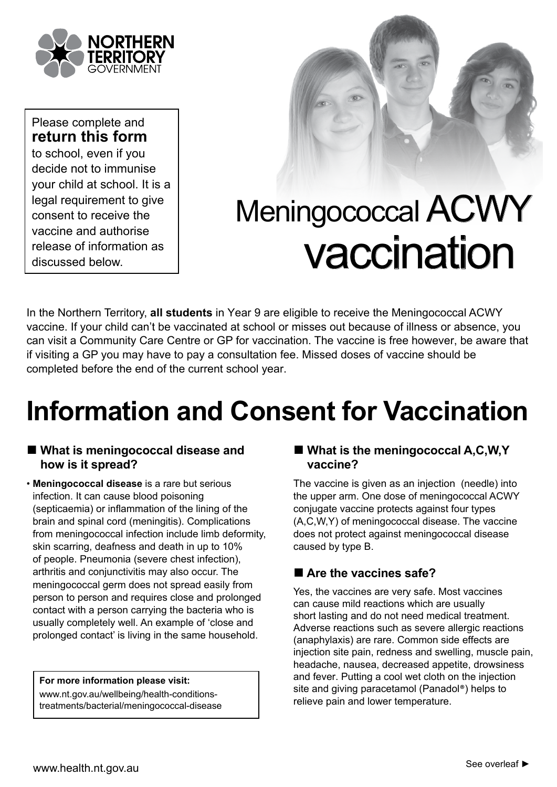

Please complete and **return this form** to school, even if you decide not to immunise your child at school. It is a legal requirement to give consent to receive the vaccine and authorise release of information as discussed below.



# Meningococcal ACWY vaccination

In the Northern Territory, **all students** in Year 9 are eligible to receive the Meningococcal ACWY vaccine. If your child can't be vaccinated at school or misses out because of illness or absence, you can visit a Community Care Centre or GP for vaccination. The vaccine is free however, be aware that if visiting a GP you may have to pay a consultation fee. Missed doses of vaccine should be completed before the end of the current school year.

# **Information and Consent for Vaccination**

#### ■ **What is meningococcal disease and how is it spread?**

• **Meningococcal disease** is a rare but serious infection. It can cause blood poisoning (septicaemia) or inflammation of the lining of the brain and spinal cord (meningitis). Complications from meningococcal infection include limb deformity, skin scarring, deafness and death in up to 10% of people. Pneumonia (severe chest infection), arthritis and conjunctivitis may also occur. The meningococcal germ does not spread easily from person to person and requires close and prolonged contact with a person carrying the bacteria who is usually completely well. An example of 'close and prolonged contact' is living in the same household.

**For more information please visit:**

www.nt.gov.au/wellbeing/health-conditionstreatments/bacterial/meningococcal-disease

#### ■ **What is the meningococcal A,C,W,Y vaccine?**

The vaccine is given as an injection (needle) into the upper arm. One dose of meningococcal ACWY conjugate vaccine protects against four types (A,C,W,Y) of meningococcal disease. The vaccine does not protect against meningococcal disease caused by type B.

#### ■ Are the vaccines safe?

Yes, the vaccines are very safe. Most vaccines can cause mild reactions which are usually short lasting and do not need medical treatment. Adverse reactions such as severe allergic reactions (anaphylaxis) are rare. Common side effects are injection site pain, redness and swelling, muscle pain, headache, nausea, decreased appetite, drowsiness and fever. Putting a cool wet cloth on the injection site and giving paracetamol (Panadol®) helps to relieve pain and lower temperature.